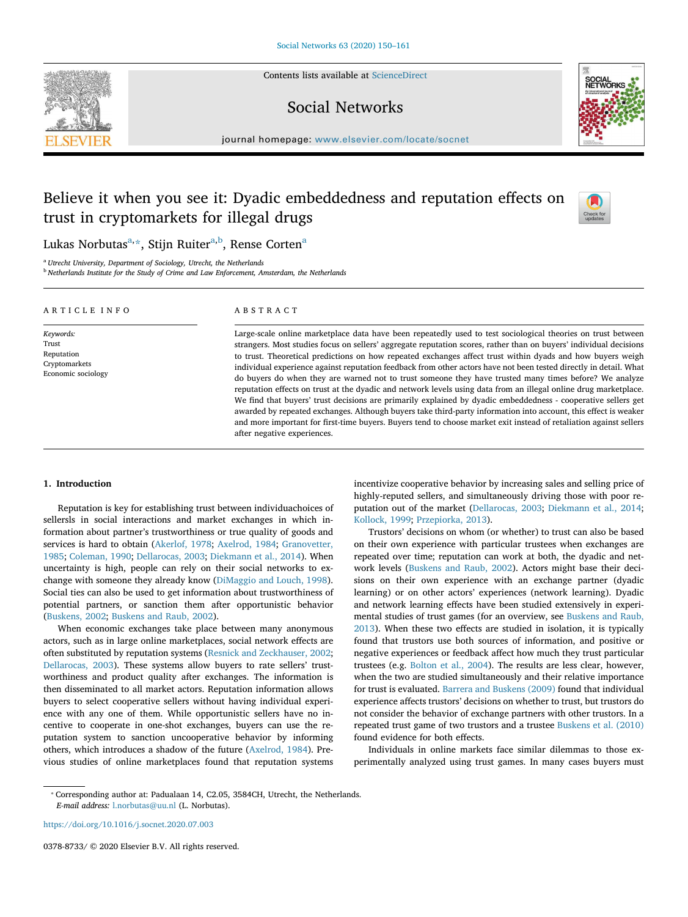Contents lists available at ScienceDirect

# Social Networks



journal homepage: www.elsevier.com/locate/socnet

# Believe it when you see it: Dyadic embeddedness and reputation effects on trust in cryptomarkets for illegal drugs



Lukas Norbutas<sup>a,</sup>\*, Stijn Ruiter<sup>a,b</sup>, Rense Corten<sup>a</sup>

<sup>a</sup> *Utrecht University, Department of Sociology, Utrecht, the Netherlands*

<sup>b</sup> *Netherlands Institute for the Study of Crime and Law Enforcement, Amsterdam, the Netherlands*

| ARTICLE INFO                                                            | ABSTRACT                                                                                                                                                                                                                                                                                                                                                                                                                                                                                                                                                                                                                                                                                                                                                                                                                                                                                                                                                                                                                                                                                     |
|-------------------------------------------------------------------------|----------------------------------------------------------------------------------------------------------------------------------------------------------------------------------------------------------------------------------------------------------------------------------------------------------------------------------------------------------------------------------------------------------------------------------------------------------------------------------------------------------------------------------------------------------------------------------------------------------------------------------------------------------------------------------------------------------------------------------------------------------------------------------------------------------------------------------------------------------------------------------------------------------------------------------------------------------------------------------------------------------------------------------------------------------------------------------------------|
| Keywords:<br>Trust<br>Reputation<br>Cryptomarkets<br>Economic sociology | Large-scale online marketplace data have been repeatedly used to test sociological theories on trust between<br>strangers. Most studies focus on sellers' aggregate reputation scores, rather than on buyers' individual decisions<br>to trust. Theoretical predictions on how repeated exchanges affect trust within dyads and how buyers weigh<br>individual experience against reputation feedback from other actors have not been tested directly in detail. What<br>do buyers do when they are warned not to trust someone they have trusted many times before? We analyze<br>reputation effects on trust at the dyadic and network levels using data from an illegal online drug marketplace.<br>We find that buyers' trust decisions are primarily explained by dyadic embeddedness - cooperative sellers get<br>awarded by repeated exchanges. Although buyers take third-party information into account, this effect is weaker<br>and more important for first-time buyers. Buyers tend to choose market exit instead of retaliation against sellers<br>after negative experiences. |

# 1. Introduction

Reputation is key for establishing trust between individuachoices of sellersls in social interactions and market exchanges in which information about partner's trustworthiness or true quality of goods and services is hard to obtain (Akerlof, 1978; Axelrod, 1984; Granovetter, 1985; Coleman, 1990; Dellarocas, 2003; Diekmann et al., 2014). When uncertainty is high, people can rely on their social networks to exchange with someone they already know (DiMaggio and Louch, 1998). Social ties can also be used to get information about trustworthiness of potential partners, or sanction them after opportunistic behavior (Buskens, 2002; Buskens and Raub, 2002).

When economic exchanges take place between many anonymous actors, such as in large online marketplaces, social network effects are often substituted by reputation systems (Resnick and Zeckhauser, 2002; Dellarocas, 2003). These systems allow buyers to rate sellers' trustworthiness and product quality after exchanges. The information is then disseminated to all market actors. Reputation information allows buyers to select cooperative sellers without having individual experience with any one of them. While opportunistic sellers have no incentive to cooperate in one-shot exchanges, buyers can use the reputation system to sanction uncooperative behavior by informing others, which introduces a shadow of the future (Axelrod, 1984). Previous studies of online marketplaces found that reputation systems incentivize cooperative behavior by increasing sales and selling price of highly-reputed sellers, and simultaneously driving those with poor reputation out of the market (Dellarocas, 2003; Diekmann et al., 2014; Kollock, 1999; Przepiorka, 2013).

Trustors' decisions on whom (or whether) to trust can also be based on their own experience with particular trustees when exchanges are repeated over time; reputation can work at both, the dyadic and network levels (Buskens and Raub, 2002). Actors might base their decisions on their own experience with an exchange partner (dyadic learning) or on other actors' experiences (network learning). Dyadic and network learning effects have been studied extensively in experimental studies of trust games (for an overview, see Buskens and Raub, 2013). When these two effects are studied in isolation, it is typically found that trustors use both sources of information, and positive or negative experiences or feedback affect how much they trust particular trustees (e.g. Bolton et al., 2004). The results are less clear, however, when the two are studied simultaneously and their relative importance for trust is evaluated. Barrera and Buskens (2009) found that individual experience affects trustors' decisions on whether to trust, but trustors do not consider the behavior of exchange partners with other trustors. In a repeated trust game of two trustors and a trustee Buskens et al. (2010) found evidence for both effects.

Individuals in online markets face similar dilemmas to those experimentally analyzed using trust games. In many cases buyers must

https://doi.org/10.1016/j.socnet.2020.07.003

0378-8733/ © 2020 Elsevier B.V. All rights reserved.

<sup>⁎</sup> Corresponding author at: Padualaan 14, C2.05, 3584CH, Utrecht, the Netherlands. *E-mail address:* l.norbutas@uu.nl (L. Norbutas).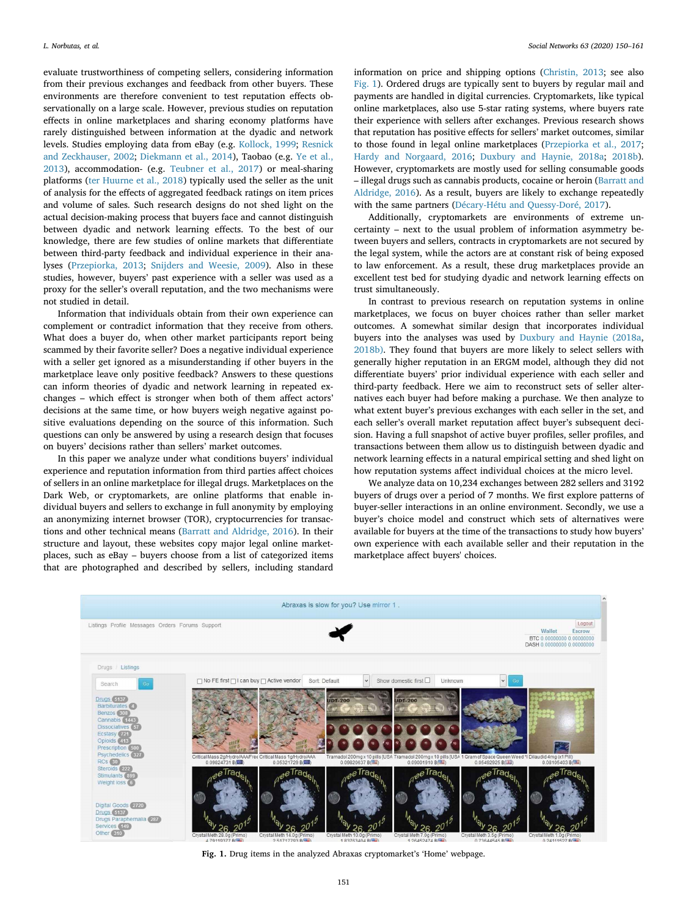evaluate trustworthiness of competing sellers, considering information from their previous exchanges and feedback from other buyers. These environments are therefore convenient to test reputation effects observationally on a large scale. However, previous studies on reputation effects in online marketplaces and sharing economy platforms have rarely distinguished between information at the dyadic and network levels. Studies employing data from eBay (e.g. Kollock, 1999; Resnick and Zeckhauser, 2002; Diekmann et al., 2014), Taobao (e.g. Ye et al., 2013), accommodation- (e.g. Teubner et al., 2017) or meal-sharing platforms (ter Huurne et al., 2018) typically used the seller as the unit of analysis for the effects of aggregated feedback ratings on item prices and volume of sales. Such research designs do not shed light on the actual decision-making process that buyers face and cannot distinguish between dyadic and network learning effects. To the best of our knowledge, there are few studies of online markets that differentiate between third-party feedback and individual experience in their analyses (Przepiorka, 2013; Snijders and Weesie, 2009). Also in these studies, however, buyers' past experience with a seller was used as a proxy for the seller's overall reputation, and the two mechanisms were not studied in detail.

Information that individuals obtain from their own experience can complement or contradict information that they receive from others. What does a buyer do, when other market participants report being scammed by their favorite seller? Does a negative individual experience with a seller get ignored as a misunderstanding if other buyers in the marketplace leave only positive feedback? Answers to these questions can inform theories of dyadic and network learning in repeated exchanges – which effect is stronger when both of them affect actors' decisions at the same time, or how buyers weigh negative against positive evaluations depending on the source of this information. Such questions can only be answered by using a research design that focuses on buyers' decisions rather than sellers' market outcomes.

In this paper we analyze under what conditions buyers' individual experience and reputation information from third parties affect choices of sellers in an online marketplace for illegal drugs. Marketplaces on the Dark Web, or cryptomarkets, are online platforms that enable individual buyers and sellers to exchange in full anonymity by employing an anonymizing internet browser (TOR), cryptocurrencies for transactions and other technical means (Barratt and Aldridge, 2016). In their structure and layout, these websites copy major legal online marketplaces, such as eBay – buyers choose from a list of categorized items that are photographed and described by sellers, including standard

information on price and shipping options (Christin, 2013; see also Fig. 1). Ordered drugs are typically sent to buyers by regular mail and payments are handled in digital currencies. Cryptomarkets, like typical online marketplaces, also use 5-star rating systems, where buyers rate their experience with sellers after exchanges. Previous research shows that reputation has positive effects for sellers' market outcomes, similar to those found in legal online marketplaces (Przepiorka et al., 2017; Hardy and Norgaard, 2016; Duxbury and Haynie, 2018a; 2018b). However, cryptomarkets are mostly used for selling consumable goods – illegal drugs such as cannabis products, cocaine or heroin (Barratt and Aldridge, 2016). As a result, buyers are likely to exchange repeatedly with the same partners (Décary-Hétu and Ouessy-Doré, 2017).

Additionally, cryptomarkets are environments of extreme uncertainty – next to the usual problem of information asymmetry between buyers and sellers, contracts in cryptomarkets are not secured by the legal system, while the actors are at constant risk of being exposed to law enforcement. As a result, these drug marketplaces provide an excellent test bed for studying dyadic and network learning effects on trust simultaneously.

In contrast to previous research on reputation systems in online marketplaces, we focus on buyer choices rather than seller market outcomes. A somewhat similar design that incorporates individual buyers into the analyses was used by Duxbury and Haynie (2018a, 2018b). They found that buyers are more likely to select sellers with generally higher reputation in an ERGM model, although they did not differentiate buyers' prior individual experience with each seller and third-party feedback. Here we aim to reconstruct sets of seller alternatives each buyer had before making a purchase. We then analyze to what extent buyer's previous exchanges with each seller in the set, and each seller's overall market reputation affect buyer's subsequent decision. Having a full snapshot of active buyer profiles, seller profiles, and transactions between them allow us to distinguish between dyadic and network learning effects in a natural empirical setting and shed light on how reputation systems affect individual choices at the micro level.

We analyze data on 10,234 exchanges between 282 sellers and 3192 buyers of drugs over a period of 7 months. We first explore patterns of buyer-seller interactions in an online environment. Secondly, we use a buyer's choice model and construct which sets of alternatives were available for buyers at the time of the transactions to study how buyers' own experience with each available seller and their reputation in the marketplace affect buyers' choices.



Fig. 1. Drug items in the analyzed Abraxas cryptomarket's 'Home' webpage.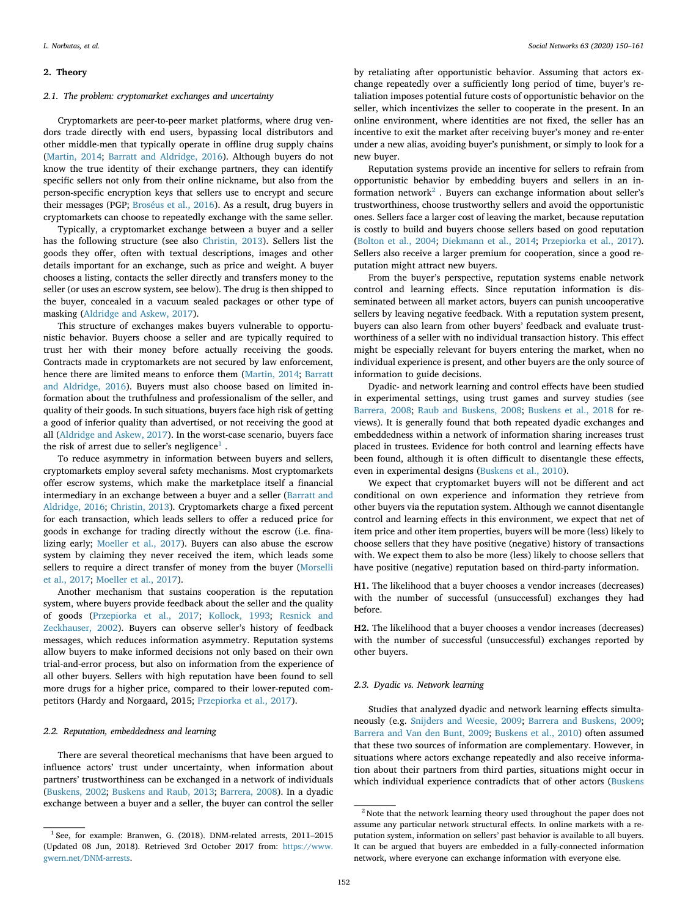#### 2. Theory

#### *2.1. The problem: cryptomarket exchanges and uncertainty*

Cryptomarkets are peer-to-peer market platforms, where drug vendors trade directly with end users, bypassing local distributors and other middle-men that typically operate in offline drug supply chains (Martin, 2014; Barratt and Aldridge, 2016). Although buyers do not know the true identity of their exchange partners, they can identify specific sellers not only from their online nickname, but also from the person-specific encryption keys that sellers use to encrypt and secure their messages (PGP; Broséus et al., 2016). As a result, drug buyers in cryptomarkets can choose to repeatedly exchange with the same seller.

Typically, a cryptomarket exchange between a buyer and a seller has the following structure (see also Christin, 2013). Sellers list the goods they offer, often with textual descriptions, images and other details important for an exchange, such as price and weight. A buyer chooses a listing, contacts the seller directly and transfers money to the seller (or uses an escrow system, see below). The drug is then shipped to the buyer, concealed in a vacuum sealed packages or other type of masking (Aldridge and Askew, 2017).

This structure of exchanges makes buyers vulnerable to opportunistic behavior. Buyers choose a seller and are typically required to trust her with their money before actually receiving the goods. Contracts made in cryptomarkets are not secured by law enforcement, hence there are limited means to enforce them (Martin, 2014; Barratt and Aldridge, 2016). Buyers must also choose based on limited information about the truthfulness and professionalism of the seller, and quality of their goods. In such situations, buyers face high risk of getting a good of inferior quality than advertised, or not receiving the good at all (Aldridge and Askew, 2017). In the worst-case scenario, buyers face the risk of arrest due to seller's negligence<sup>1</sup>.

To reduce asymmetry in information between buyers and sellers, cryptomarkets employ several safety mechanisms. Most cryptomarkets offer escrow systems, which make the marketplace itself a financial intermediary in an exchange between a buyer and a seller (Barratt and Aldridge, 2016; Christin, 2013). Cryptomarkets charge a fixed percent for each transaction, which leads sellers to offer a reduced price for goods in exchange for trading directly without the escrow (i.e. finalizing early; Moeller et al., 2017). Buyers can also abuse the escrow system by claiming they never received the item, which leads some sellers to require a direct transfer of money from the buyer (Morselli et al., 2017; Moeller et al., 2017).

Another mechanism that sustains cooperation is the reputation system, where buyers provide feedback about the seller and the quality of goods (Przepiorka et al., 2017; Kollock, 1993; Resnick and Zeckhauser, 2002). Buyers can observe seller's history of feedback messages, which reduces information asymmetry. Reputation systems allow buyers to make informed decisions not only based on their own trial-and-error process, but also on information from the experience of all other buyers. Sellers with high reputation have been found to sell more drugs for a higher price, compared to their lower-reputed competitors (Hardy and Norgaard, 2015; Przepiorka et al., 2017).

# *2.2. Reputation, embeddedness and learning*

There are several theoretical mechanisms that have been argued to influence actors' trust under uncertainty, when information about partners' trustworthiness can be exchanged in a network of individuals (Buskens, 2002; Buskens and Raub, 2013; Barrera, 2008). In a dyadic exchange between a buyer and a seller, the buyer can control the seller

by retaliating after opportunistic behavior. Assuming that actors exchange repeatedly over a sufficiently long period of time, buyer's retaliation imposes potential future costs of opportunistic behavior on the seller, which incentivizes the seller to cooperate in the present. In an online environment, where identities are not fixed, the seller has an incentive to exit the market after receiving buyer's money and re-enter under a new alias, avoiding buyer's punishment, or simply to look for a new buyer.

Reputation systems provide an incentive for sellers to refrain from opportunistic behavior by embedding buyers and sellers in an information network<sup>2</sup>. Buyers can exchange information about seller's trustworthiness, choose trustworthy sellers and avoid the opportunistic ones. Sellers face a larger cost of leaving the market, because reputation is costly to build and buyers choose sellers based on good reputation (Bolton et al., 2004; Diekmann et al., 2014; Przepiorka et al., 2017). Sellers also receive a larger premium for cooperation, since a good reputation might attract new buyers.

From the buyer's perspective, reputation systems enable network control and learning effects. Since reputation information is disseminated between all market actors, buyers can punish uncooperative sellers by leaving negative feedback. With a reputation system present, buyers can also learn from other buyers' feedback and evaluate trustworthiness of a seller with no individual transaction history. This effect might be especially relevant for buyers entering the market, when no individual experience is present, and other buyers are the only source of information to guide decisions.

Dyadic- and network learning and control effects have been studied in experimental settings, using trust games and survey studies (see Barrera, 2008; Raub and Buskens, 2008; Buskens et al., 2018 for reviews). It is generally found that both repeated dyadic exchanges and embeddedness within a network of information sharing increases trust placed in trustees. Evidence for both control and learning effects have been found, although it is often difficult to disentangle these effects, even in experimental designs (Buskens et al., 2010).

We expect that cryptomarket buyers will not be different and act conditional on own experience and information they retrieve from other buyers via the reputation system. Although we cannot disentangle control and learning effects in this environment, we expect that net of item price and other item properties, buyers will be more (less) likely to choose sellers that they have positive (negative) history of transactions with. We expect them to also be more (less) likely to choose sellers that have positive (negative) reputation based on third-party information.

H1. The likelihood that a buyer chooses a vendor increases (decreases) with the number of successful (unsuccessful) exchanges they had before.

H2. The likelihood that a buyer chooses a vendor increases (decreases) with the number of successful (unsuccessful) exchanges reported by other buyers.

## *2.3. Dyadic vs. Network learning*

Studies that analyzed dyadic and network learning effects simultaneously (e.g. Snijders and Weesie, 2009; Barrera and Buskens, 2009; Barrera and Van den Bunt, 2009; Buskens et al., 2010) often assumed that these two sources of information are complementary. However, in situations where actors exchange repeatedly and also receive information about their partners from third parties, situations might occur in which individual experience contradicts that of other actors (Buskens

<sup>&</sup>lt;sup>1</sup> See, for example: Branwen, G. (2018). DNM-related arrests, 2011-2015 (Updated 08 Jun, 2018). Retrieved 3rd October 2017 from: https://www. gwern.net/DNM-arrests.

<sup>&</sup>lt;sup>2</sup> Note that the network learning theory used throughout the paper does not assume any particular network structural effects. In online markets with a reputation system, information on sellers' past behavior is available to all buyers. It can be argued that buyers are embedded in a fully-connected information network, where everyone can exchange information with everyone else.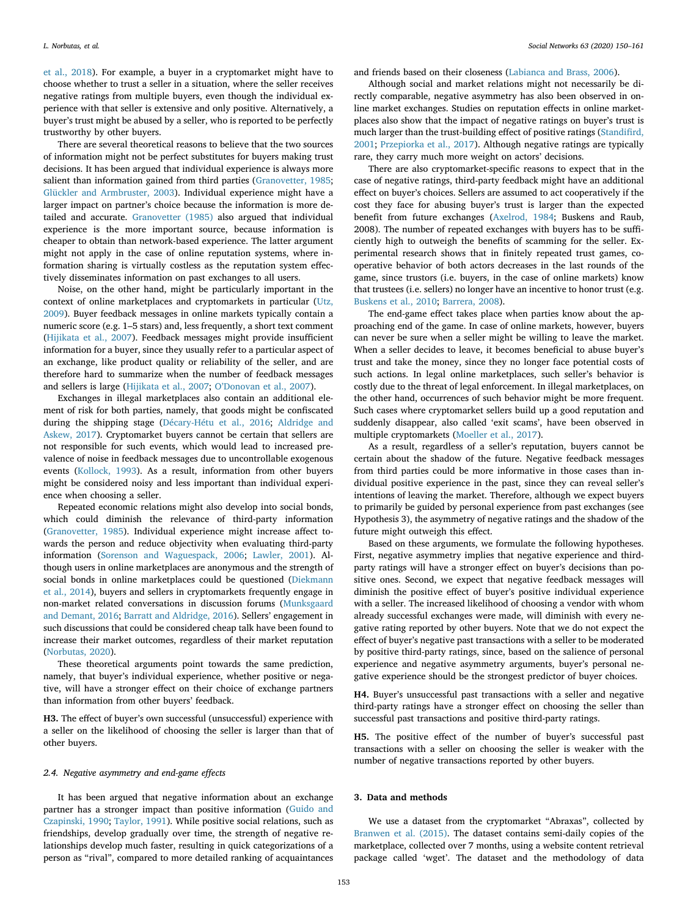et al., 2018). For example, a buyer in a cryptomarket might have to choose whether to trust a seller in a situation, where the seller receives negative ratings from multiple buyers, even though the individual experience with that seller is extensive and only positive. Alternatively, a buyer's trust might be abused by a seller, who is reported to be perfectly trustworthy by other buyers.

There are several theoretical reasons to believe that the two sources of information might not be perfect substitutes for buyers making trust decisions. It has been argued that individual experience is always more salient than information gained from third parties (Granovetter, 1985; Glückler and Armbruster, 2003). Individual experience might have a larger impact on partner's choice because the information is more detailed and accurate. Granovetter (1985) also argued that individual experience is the more important source, because information is cheaper to obtain than network-based experience. The latter argument might not apply in the case of online reputation systems, where information sharing is virtually costless as the reputation system effectively disseminates information on past exchanges to all users.

Noise, on the other hand, might be particularly important in the context of online marketplaces and cryptomarkets in particular (Utz, 2009). Buyer feedback messages in online markets typically contain a numeric score (e.g. 1–5 stars) and, less frequently, a short text comment (Hijikata et al., 2007). Feedback messages might provide insufficient information for a buyer, since they usually refer to a particular aspect of an exchange, like product quality or reliability of the seller, and are therefore hard to summarize when the number of feedback messages and sellers is large (Hijikata et al., 2007; O'Donovan et al., 2007).

Exchanges in illegal marketplaces also contain an additional element of risk for both parties, namely, that goods might be confiscated during the shipping stage (Décary-Hétu et al., 2016; Aldridge and Askew, 2017). Cryptomarket buyers cannot be certain that sellers are not responsible for such events, which would lead to increased prevalence of noise in feedback messages due to uncontrollable exogenous events (Kollock, 1993). As a result, information from other buyers might be considered noisy and less important than individual experience when choosing a seller.

Repeated economic relations might also develop into social bonds, which could diminish the relevance of third-party information (Granovetter, 1985). Individual experience might increase affect towards the person and reduce objectivity when evaluating third-party information (Sorenson and Waguespack, 2006; Lawler, 2001). Although users in online marketplaces are anonymous and the strength of social bonds in online marketplaces could be questioned (Diekmann et al., 2014), buyers and sellers in cryptomarkets frequently engage in non-market related conversations in discussion forums (Munksgaard and Demant, 2016; Barratt and Aldridge, 2016). Sellers' engagement in such discussions that could be considered cheap talk have been found to increase their market outcomes, regardless of their market reputation (Norbutas, 2020).

These theoretical arguments point towards the same prediction, namely, that buyer's individual experience, whether positive or negative, will have a stronger effect on their choice of exchange partners than information from other buyers' feedback.

H3. The effect of buyer's own successful (unsuccessful) experience with a seller on the likelihood of choosing the seller is larger than that of other buyers.

#### *2.4. Negative asymmetry and end-game e*ff*ects*

It has been argued that negative information about an exchange partner has a stronger impact than positive information (Guido and Czapinski, 1990; Taylor, 1991). While positive social relations, such as friendships, develop gradually over time, the strength of negative relationships develop much faster, resulting in quick categorizations of a person as "rival", compared to more detailed ranking of acquaintances and friends based on their closeness (Labianca and Brass, 2006).

Although social and market relations might not necessarily be directly comparable, negative asymmetry has also been observed in online market exchanges. Studies on reputation effects in online marketplaces also show that the impact of negative ratings on buyer's trust is much larger than the trust-building effect of positive ratings (Standifird, 2001; Przepiorka et al., 2017). Although negative ratings are typically rare, they carry much more weight on actors' decisions.

There are also cryptomarket-specific reasons to expect that in the case of negative ratings, third-party feedback might have an additional effect on buyer's choices. Sellers are assumed to act cooperatively if the cost they face for abusing buyer's trust is larger than the expected benefit from future exchanges (Axelrod, 1984; Buskens and Raub, 2008). The number of repeated exchanges with buyers has to be sufficiently high to outweigh the benefits of scamming for the seller. Experimental research shows that in finitely repeated trust games, cooperative behavior of both actors decreases in the last rounds of the game, since trustors (i.e. buyers, in the case of online markets) know that trustees (i.e. sellers) no longer have an incentive to honor trust (e.g. Buskens et al., 2010; Barrera, 2008).

The end-game effect takes place when parties know about the approaching end of the game. In case of online markets, however, buyers can never be sure when a seller might be willing to leave the market. When a seller decides to leave, it becomes beneficial to abuse buyer's trust and take the money, since they no longer face potential costs of such actions. In legal online marketplaces, such seller's behavior is costly due to the threat of legal enforcement. In illegal marketplaces, on the other hand, occurrences of such behavior might be more frequent. Such cases where cryptomarket sellers build up a good reputation and suddenly disappear, also called 'exit scams', have been observed in multiple cryptomarkets (Moeller et al., 2017).

As a result, regardless of a seller's reputation, buyers cannot be certain about the shadow of the future. Negative feedback messages from third parties could be more informative in those cases than individual positive experience in the past, since they can reveal seller's intentions of leaving the market. Therefore, although we expect buyers to primarily be guided by personal experience from past exchanges (see Hypothesis 3), the asymmetry of negative ratings and the shadow of the future might outweigh this effect.

Based on these arguments, we formulate the following hypotheses. First, negative asymmetry implies that negative experience and thirdparty ratings will have a stronger effect on buyer's decisions than positive ones. Second, we expect that negative feedback messages will diminish the positive effect of buyer's positive individual experience with a seller. The increased likelihood of choosing a vendor with whom already successful exchanges were made, will diminish with every negative rating reported by other buyers. Note that we do not expect the effect of buyer's negative past transactions with a seller to be moderated by positive third-party ratings, since, based on the salience of personal experience and negative asymmetry arguments, buyer's personal negative experience should be the strongest predictor of buyer choices.

H4. Buyer's unsuccessful past transactions with a seller and negative third-party ratings have a stronger effect on choosing the seller than successful past transactions and positive third-party ratings.

H5. The positive effect of the number of buyer's successful past transactions with a seller on choosing the seller is weaker with the number of negative transactions reported by other buyers.

#### 3. Data and methods

We use a dataset from the cryptomarket "Abraxas", collected by Branwen et al. (2015). The dataset contains semi-daily copies of the marketplace, collected over 7 months, using a website content retrieval package called 'wget'. The dataset and the methodology of data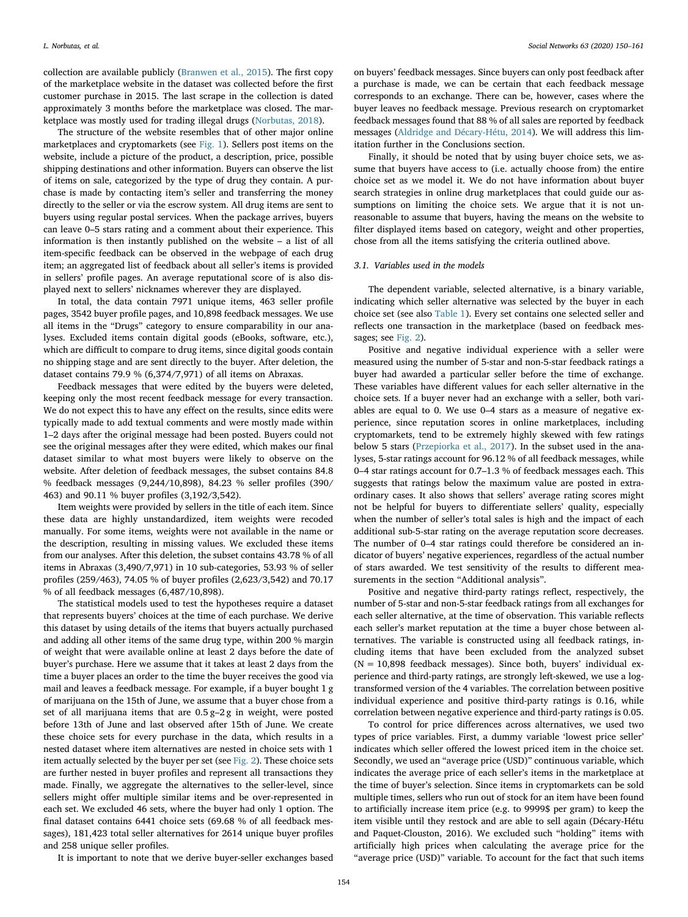collection are available publicly (Branwen et al., 2015). The first copy of the marketplace website in the dataset was collected before the first customer purchase in 2015. The last scrape in the collection is dated approximately 3 months before the marketplace was closed. The marketplace was mostly used for trading illegal drugs (Norbutas, 2018).

The structure of the website resembles that of other major online marketplaces and cryptomarkets (see Fig. 1). Sellers post items on the website, include a picture of the product, a description, price, possible shipping destinations and other information. Buyers can observe the list of items on sale, categorized by the type of drug they contain. A purchase is made by contacting item's seller and transferring the money directly to the seller or via the escrow system. All drug items are sent to buyers using regular postal services. When the package arrives, buyers can leave 0–5 stars rating and a comment about their experience. This information is then instantly published on the website – a list of all item-specific feedback can be observed in the webpage of each drug item; an aggregated list of feedback about all seller's items is provided in sellers' profile pages. An average reputational score of is also displayed next to sellers' nicknames wherever they are displayed.

In total, the data contain 7971 unique items, 463 seller profile pages, 3542 buyer profile pages, and 10,898 feedback messages. We use all items in the "Drugs" category to ensure comparability in our analyses. Excluded items contain digital goods (eBooks, software, etc.), which are difficult to compare to drug items, since digital goods contain no shipping stage and are sent directly to the buyer. After deletion, the dataset contains 79.9 % (6,374/7,971) of all items on Abraxas.

Feedback messages that were edited by the buyers were deleted, keeping only the most recent feedback message for every transaction. We do not expect this to have any effect on the results, since edits were typically made to add textual comments and were mostly made within 1–2 days after the original message had been posted. Buyers could not see the original messages after they were edited, which makes our final dataset similar to what most buyers were likely to observe on the website. After deletion of feedback messages, the subset contains 84.8 % feedback messages (9,244/10,898), 84.23 % seller profiles (390/ 463) and 90.11 % buyer profiles (3,192/3,542).

Item weights were provided by sellers in the title of each item. Since these data are highly unstandardized, item weights were recoded manually. For some items, weights were not available in the name or the description, resulting in missing values. We excluded these items from our analyses. After this deletion, the subset contains 43.78 % of all items in Abraxas (3,490/7,971) in 10 sub-categories, 53.93 % of seller profiles (259/463), 74.05 % of buyer profiles (2,623/3,542) and 70.17 % of all feedback messages (6,487/10,898).

The statistical models used to test the hypotheses require a dataset that represents buyers' choices at the time of each purchase. We derive this dataset by using details of the items that buyers actually purchased and adding all other items of the same drug type, within 200 % margin of weight that were available online at least 2 days before the date of buyer's purchase. Here we assume that it takes at least 2 days from the time a buyer places an order to the time the buyer receives the good via mail and leaves a feedback message. For example, if a buyer bought 1 g of marijuana on the 15th of June, we assume that a buyer chose from a set of all marijuana items that are 0.5 g–2 g in weight, were posted before 13th of June and last observed after 15th of June. We create these choice sets for every purchase in the data, which results in a nested dataset where item alternatives are nested in choice sets with 1 item actually selected by the buyer per set (see  $Fig. 2$ ). These choice sets are further nested in buyer profiles and represent all transactions they made. Finally, we aggregate the alternatives to the seller-level, since sellers might offer multiple similar items and be over-represented in each set. We excluded 46 sets, where the buyer had only 1 option. The final dataset contains 6441 choice sets (69.68 % of all feedback messages), 181,423 total seller alternatives for 2614 unique buyer profiles and 258 unique seller profiles.

on buyers' feedback messages. Since buyers can only post feedback after a purchase is made, we can be certain that each feedback message corresponds to an exchange. There can be, however, cases where the buyer leaves no feedback message. Previous research on cryptomarket feedback messages found that 88 % of all sales are reported by feedback messages (Aldridge and Décary-Hétu, 2014). We will address this limitation further in the Conclusions section.

Finally, it should be noted that by using buyer choice sets, we assume that buyers have access to (i.e. actually choose from) the entire choice set as we model it. We do not have information about buyer search strategies in online drug marketplaces that could guide our assumptions on limiting the choice sets. We argue that it is not unreasonable to assume that buyers, having the means on the website to filter displayed items based on category, weight and other properties, chose from all the items satisfying the criteria outlined above.

# *3.1. Variables used in the models*

The dependent variable, selected alternative, is a binary variable, indicating which seller alternative was selected by the buyer in each choice set (see also Table 1). Every set contains one selected seller and reflects one transaction in the marketplace (based on feedback messages; see Fig. 2).

Positive and negative individual experience with a seller were measured using the number of 5-star and non-5-star feedback ratings a buyer had awarded a particular seller before the time of exchange. These variables have different values for each seller alternative in the choice sets. If a buyer never had an exchange with a seller, both variables are equal to 0. We use 0–4 stars as a measure of negative experience, since reputation scores in online marketplaces, including cryptomarkets, tend to be extremely highly skewed with few ratings below 5 stars (Przepiorka et al., 2017). In the subset used in the analyses, 5-star ratings account for 96.12 % of all feedback messages, while 0–4 star ratings account for 0.7–1.3 % of feedback messages each. This suggests that ratings below the maximum value are posted in extraordinary cases. It also shows that sellers' average rating scores might not be helpful for buyers to differentiate sellers' quality, especially when the number of seller's total sales is high and the impact of each additional sub-5-star rating on the average reputation score decreases. The number of 0–4 star ratings could therefore be considered an indicator of buyers' negative experiences, regardless of the actual number of stars awarded. We test sensitivity of the results to different measurements in the section "Additional analysis".

Positive and negative third-party ratings reflect, respectively, the number of 5-star and non-5-star feedback ratings from all exchanges for each seller alternative, at the time of observation. This variable reflects each seller's market reputation at the time a buyer chose between alternatives. The variable is constructed using all feedback ratings, including items that have been excluded from the analyzed subset  $(N = 10,898$  feedback messages). Since both, buyers' individual experience and third-party ratings, are strongly left-skewed, we use a logtransformed version of the 4 variables. The correlation between positive individual experience and positive third-party ratings is 0.16, while correlation between negative experience and third-party ratings is 0.05.

To control for price differences across alternatives, we used two types of price variables. First, a dummy variable 'lowest price seller' indicates which seller offered the lowest priced item in the choice set. Secondly, we used an "average price (USD)" continuous variable, which indicates the average price of each seller's items in the marketplace at the time of buyer's selection. Since items in cryptomarkets can be sold multiple times, sellers who run out of stock for an item have been found to artificially increase item price (e.g. to 9999\$ per gram) to keep the item visible until they restock and are able to sell again (Décary-Hétu and Paquet-Clouston, 2016). We excluded such "holding" items with artificially high prices when calculating the average price for the "average price (USD)" variable. To account for the fact that such items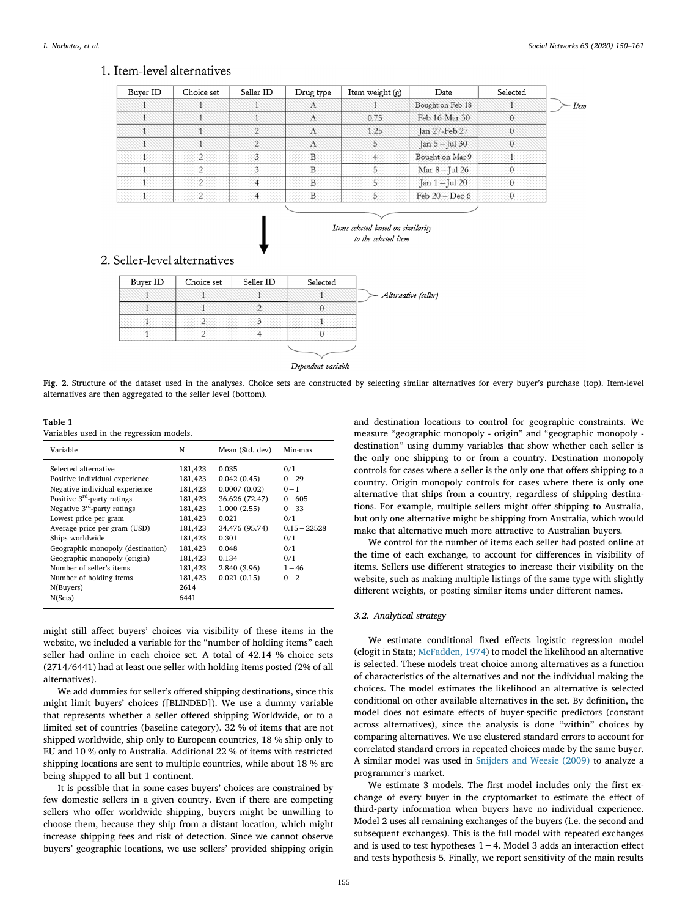# 1. Item-level alternatives

| Selected | Date             | Item weight (g) | Drug type | Seller ID | Choice set | Buyer ID |
|----------|------------------|-----------------|-----------|-----------|------------|----------|
|          | Bought on Feb 18 |                 | Æ.        |           |            |          |
| U.       | Feb 16-Mar 30    | 0.75            | Æ         |           |            |          |
| 0        | Jan 27-Feb 27    | 1.25            | Æ         |           |            |          |
|          | Jan 5-Jul 30     |                 | Æ         |           |            |          |
|          | Bought on Mar 9  |                 |           |           |            |          |
|          | Mar 8 - Jul 26   |                 |           |           |            |          |
|          | Jan 1 - Jul 20   |                 |           |           |            |          |
|          | Feb $20 - Dec 6$ |                 |           |           |            |          |



# 2. Seller-level alternatives

| Buyer ID | Choice set | Seller ID | Selected           |                      |
|----------|------------|-----------|--------------------|----------------------|
|          |            |           |                    | Alternative (seller) |
|          |            |           |                    |                      |
|          |            |           |                    |                      |
|          |            |           |                    |                      |
|          |            |           |                    |                      |
|          |            |           | Dependent variable |                      |

Fig. 2. Structure of the dataset used in the analyses. Choice sets are constructed by selecting similar alternatives for every buyer's purchase (top). Item-level alternatives are then aggregated to the seller level (bottom).

| Table 1 |  |                                          |  |
|---------|--|------------------------------------------|--|
|         |  | Variables used in the regression models. |  |

| Variable                                | N       | Mean (Std. dev) | Min-max        |
|-----------------------------------------|---------|-----------------|----------------|
| Selected alternative                    | 181,423 | 0.035           | 0/1            |
| Positive individual experience          | 181,423 | 0.042(0.45)     | $0 - 29$       |
| Negative individual experience          | 181,423 | 0.0007(0.02)    | $0 - 1$        |
| Positive 3 <sup>rd</sup> -party ratings | 181,423 | 36.626 (72.47)  | $0 - 605$      |
| Negative $3rd$ -party ratings           | 181,423 | 1.000(2.55)     | $0 - 33$       |
| Lowest price per gram                   | 181,423 | 0.021           | 0/1            |
| Average price per gram (USD)            | 181,423 | 34.476 (95.74)  | $0.15 - 22528$ |
| Ships worldwide                         | 181,423 | 0.301           | 0/1            |
| Geographic monopoly (destination)       | 181,423 | 0.048           | 0/1            |
| Geographic monopoly (origin)            | 181,423 | 0.134           | 0/1            |
| Number of seller's items                | 181,423 | 2.840 (3.96)    | $1 - 46$       |
| Number of holding items                 | 181,423 | 0.021(0.15)     | $0 - 2$        |
| N(Buyers)                               | 2614    |                 |                |
| N(Sets)                                 | 6441    |                 |                |
|                                         |         |                 |                |

might still affect buyers' choices via visibility of these items in the website, we included a variable for the "number of holding items" each seller had online in each choice set. A total of 42.14 % choice sets (2714/6441) had at least one seller with holding items posted (2% of all alternatives).

We add dummies for seller's offered shipping destinations, since this might limit buyers' choices ([BLINDED]). We use a dummy variable that represents whether a seller offered shipping Worldwide, or to a limited set of countries (baseline category). 32 % of items that are not shipped worldwide, ship only to European countries, 18 % ship only to EU and 10 % only to Australia. Additional 22 % of items with restricted shipping locations are sent to multiple countries, while about 18 % are being shipped to all but 1 continent.

It is possible that in some cases buyers' choices are constrained by few domestic sellers in a given country. Even if there are competing sellers who offer worldwide shipping, buyers might be unwilling to choose them, because they ship from a distant location, which might increase shipping fees and risk of detection. Since we cannot observe buyers' geographic locations, we use sellers' provided shipping origin

and destination locations to control for geographic constraints. We measure "geographic monopoly - origin" and "geographic monopoly destination" using dummy variables that show whether each seller is the only one shipping to or from a country. Destination monopoly controls for cases where a seller is the only one that offers shipping to a country. Origin monopoly controls for cases where there is only one alternative that ships from a country, regardless of shipping destinations. For example, multiple sellers might offer shipping to Australia, but only one alternative might be shipping from Australia, which would make that alternative much more attractive to Australian buyers.

We control for the number of items each seller had posted online at the time of each exchange, to account for differences in visibility of items. Sellers use different strategies to increase their visibility on the website, such as making multiple listings of the same type with slightly different weights, or posting similar items under different names.

# *3.2. Analytical strategy*

We estimate conditional fixed effects logistic regression model (clogit in Stata; McFadden, 1974) to model the likelihood an alternative is selected. These models treat choice among alternatives as a function of characteristics of the alternatives and not the individual making the choices. The model estimates the likelihood an alternative is selected conditional on other available alternatives in the set. By definition, the model does not esimate effects of buyer-specific predictors (constant across alternatives), since the analysis is done "within" choices by comparing alternatives. We use clustered standard errors to account for correlated standard errors in repeated choices made by the same buyer. A similar model was used in Snijders and Weesie (2009) to analyze a programmer's market.

We estimate 3 models. The first model includes only the first exchange of every buyer in the cryptomarket to estimate the effect of third-party information when buyers have no individual experience. Model 2 uses all remaining exchanges of the buyers (i.e. the second and subsequent exchanges). This is the full model with repeated exchanges and is used to test hypotheses 1−4. Model 3 adds an interaction effect and tests hypothesis 5. Finally, we report sensitivity of the main results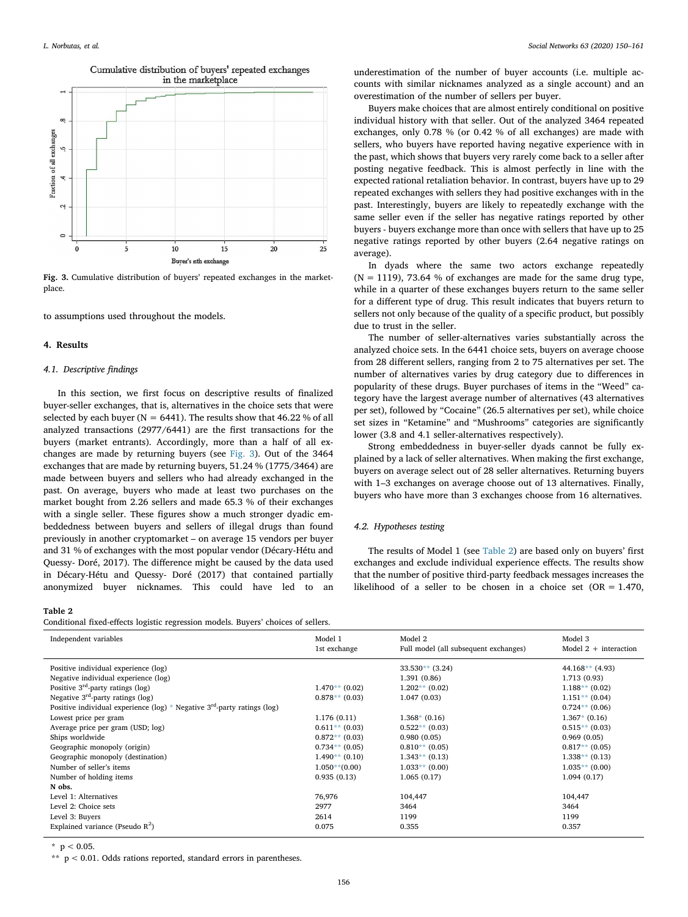

Fig. 3. Cumulative distribution of buyers' repeated exchanges in the marketplace.

to assumptions used throughout the models.

#### 4. Results

# *4.1. Descriptive* fi*ndings*

In this section, we first focus on descriptive results of finalized buyer-seller exchanges, that is, alternatives in the choice sets that were selected by each buyer ( $N = 6441$ ). The results show that 46.22 % of all analyzed transactions (2977/6441) are the first transactions for the buyers (market entrants). Accordingly, more than a half of all exchanges are made by returning buyers (see Fig. 3). Out of the 3464 exchanges that are made by returning buyers, 51.24 % (1775/3464) are made between buyers and sellers who had already exchanged in the past. On average, buyers who made at least two purchases on the market bought from 2.26 sellers and made 65.3 % of their exchanges with a single seller. These figures show a much stronger dyadic embeddedness between buyers and sellers of illegal drugs than found previously in another cryptomarket – on average 15 vendors per buyer and 31 % of exchanges with the most popular vendor (Décary-Hétu and Quessy- Doré, 2017). The difference might be caused by the data used in Décary-Hétu and Quessy- Doré (2017) that contained partially anonymized buyer nicknames. This could have led to an

#### Table 2

Conditional fixed-effects logistic regression models. Buyers' choices of sellers.

underestimation of the number of buyer accounts (i.e. multiple accounts with similar nicknames analyzed as a single account) and an overestimation of the number of sellers per buyer.

Buyers make choices that are almost entirely conditional on positive individual history with that seller. Out of the analyzed 3464 repeated exchanges, only 0.78 % (or 0.42 % of all exchanges) are made with sellers, who buyers have reported having negative experience with in the past, which shows that buyers very rarely come back to a seller after posting negative feedback. This is almost perfectly in line with the expected rational retaliation behavior. In contrast, buyers have up to 29 repeated exchanges with sellers they had positive exchanges with in the past. Interestingly, buyers are likely to repeatedly exchange with the same seller even if the seller has negative ratings reported by other buyers - buyers exchange more than once with sellers that have up to 25 negative ratings reported by other buyers (2.64 negative ratings on average).

In dyads where the same two actors exchange repeatedly  $(N = 1119)$ , 73.64 % of exchanges are made for the same drug type, while in a quarter of these exchanges buyers return to the same seller for a different type of drug. This result indicates that buyers return to sellers not only because of the quality of a specific product, but possibly due to trust in the seller.

The number of seller-alternatives varies substantially across the analyzed choice sets. In the 6441 choice sets, buyers on average choose from 28 different sellers, ranging from 2 to 75 alternatives per set. The number of alternatives varies by drug category due to differences in popularity of these drugs. Buyer purchases of items in the "Weed" category have the largest average number of alternatives (43 alternatives per set), followed by "Cocaine" (26.5 alternatives per set), while choice set sizes in "Ketamine" and "Mushrooms" categories are significantly lower (3.8 and 4.1 seller-alternatives respectively).

Strong embeddedness in buyer-seller dyads cannot be fully explained by a lack of seller alternatives. When making the first exchange, buyers on average select out of 28 seller alternatives. Returning buyers with 1–3 exchanges on average choose out of 13 alternatives. Finally, buyers who have more than 3 exchanges choose from 16 alternatives.

### *4.2. Hypotheses testing*

The results of Model 1 (see Table 2) are based only on buyers' first exchanges and exclude individual experience effects. The results show that the number of positive third-party feedback messages increases the likelihood of a seller to be chosen in a choice set  $(OR = 1.470,$ 

| Independent variables                                                         | Model 1<br>1st exchange | Model 2<br>Full model (all subsequent exchanges) | Model 3<br>Model $2 +$ interaction |
|-------------------------------------------------------------------------------|-------------------------|--------------------------------------------------|------------------------------------|
| Positive individual experience (log)                                          |                         | $33.530**$ (3.24)                                | $44.168**$ (4.93)                  |
| Negative individual experience (log)                                          |                         | 1.391 (0.86)                                     | 1.713 (0.93)                       |
| Positive $3rd$ -party ratings (log)                                           | $1.470**$ (0.02)        | $1.202**$ (0.02)                                 | $1.188**$ (0.02)                   |
| Negative $3rd$ -party ratings (log)                                           | $0.878**$ (0.03)        | 1.047(0.03)                                      | $1.151**$ (0.04)                   |
| Positive individual experience (log) * Negative $3^{rd}$ -party ratings (log) |                         |                                                  | $0.724**$ (0.06)                   |
| Lowest price per gram                                                         | 1.176(0.11)             | $1.368*(0.16)$                                   | $1.367*(0.16)$                     |
| Average price per gram (USD; log)                                             | $0.611**$ (0.03)        | $0.522**$ (0.03)                                 | $0.515**$ (0.03)                   |
| Ships worldwide                                                               | $0.872**$ (0.03)        | 0.980(0.05)                                      | 0.969(0.05)                        |
| Geographic monopoly (origin)                                                  | $0.734**$ (0.05)        | $0.810**$ (0.05)                                 | $0.817**$ (0.05)                   |
| Geographic monopoly (destination)                                             | $1.490**$ (0.10)        | $1.343**$ (0.13)                                 | $1.338**$ (0.13)                   |
| Number of seller's items                                                      | $1.050**$ (0.00)        | $1.033**$ (0.00)                                 | $1.035**$ (0.00)                   |
| Number of holding items                                                       | 0.935(0.13)             | 1.065(0.17)                                      | 1.094(0.17)                        |
| N obs.                                                                        |                         |                                                  |                                    |
| Level 1: Alternatives                                                         | 76,976                  | 104,447                                          | 104,447                            |
| Level 2: Choice sets                                                          | 2977                    | 3464                                             | 3464                               |
| Level 3: Buyers                                                               | 2614                    | 1199                                             | 1199                               |
| Explained variance (Pseudo $R^2$ )                                            | 0.075                   | 0.355                                            | 0.357                              |
|                                                                               |                         |                                                  |                                    |

 $*$  p < 0.05.

 $*$   $p$  < 0.01. Odds rations reported, standard errors in parentheses.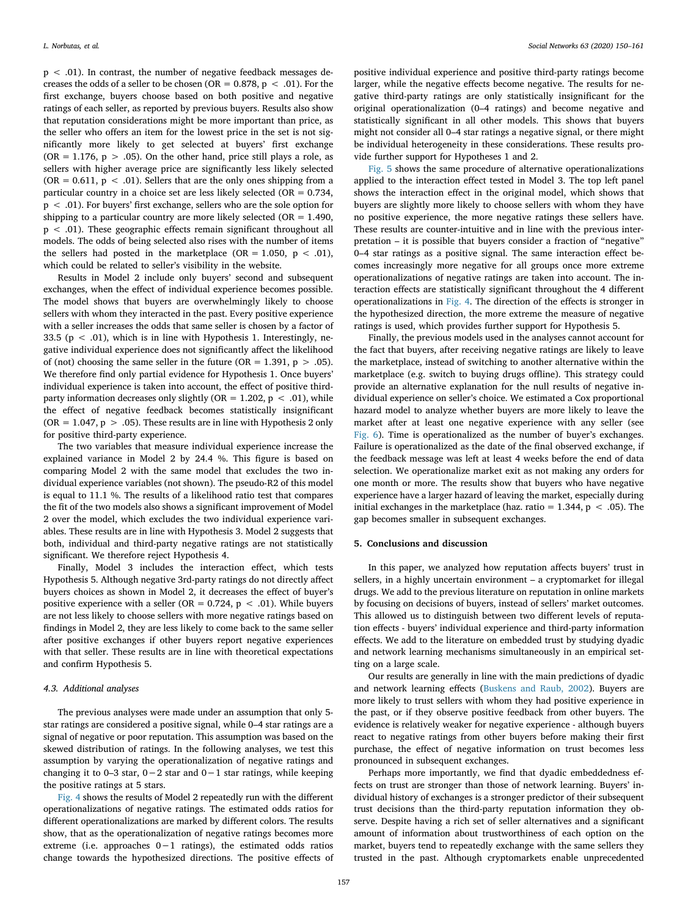$p < .01$ ). In contrast, the number of negative feedback messages decreases the odds of a seller to be chosen (OR =  $0.878$ , p < .01). For the first exchange, buyers choose based on both positive and negative ratings of each seller, as reported by previous buyers. Results also show that reputation considerations might be more important than price, as the seller who offers an item for the lowest price in the set is not significantly more likely to get selected at buyers' first exchange (OR = 1.176,  $p > .05$ ). On the other hand, price still plays a role, as sellers with higher average price are significantly less likely selected (OR = 0.611,  $p < .01$ ). Sellers that are the only ones shipping from a particular country in a choice set are less likely selected (OR = 0.734, p < .01). For buyers' first exchange, sellers who are the sole option for shipping to a particular country are more likely selected ( $OR = 1.490$ ). p < .01). These geographic effects remain significant throughout all models. The odds of being selected also rises with the number of items the sellers had posted in the marketplace (OR = 1.050,  $p < .01$ ), which could be related to seller's visibility in the website.

Results in Model 2 include only buyers' second and subsequent exchanges, when the effect of individual experience becomes possible. The model shows that buyers are overwhelmingly likely to choose sellers with whom they interacted in the past. Every positive experience with a seller increases the odds that same seller is chosen by a factor of 33.5 ( $p < .01$ ), which is in line with Hypothesis 1. Interestingly, negative individual experience does not significantly affect the likelihood of (not) choosing the same seller in the future ( $OR = 1.391$ ,  $p > .05$ ). We therefore find only partial evidence for Hypothesis 1. Once buyers' individual experience is taken into account, the effect of positive thirdparty information decreases only slightly (OR = 1.202, p < .01), while the effect of negative feedback becomes statistically insignificant (OR =  $1.047$ , p > .05). These results are in line with Hypothesis 2 only for positive third-party experience.

The two variables that measure individual experience increase the explained variance in Model 2 by 24.4 %. This figure is based on comparing Model 2 with the same model that excludes the two individual experience variables (not shown). The pseudo-R2 of this model is equal to 11.1 %. The results of a likelihood ratio test that compares the fit of the two models also shows a significant improvement of Model 2 over the model, which excludes the two individual experience variables. These results are in line with Hypothesis 3. Model 2 suggests that both, individual and third-party negative ratings are not statistically significant. We therefore reject Hypothesis 4.

Finally, Model 3 includes the interaction effect, which tests Hypothesis 5. Although negative 3rd-party ratings do not directly affect buyers choices as shown in Model 2, it decreases the effect of buyer's positive experience with a seller (OR =  $0.724$ , p < .01). While buyers are not less likely to choose sellers with more negative ratings based on findings in Model 2, they are less likely to come back to the same seller after positive exchanges if other buyers report negative experiences with that seller. These results are in line with theoretical expectations and confirm Hypothesis 5.

#### *4.3. Additional analyses*

The previous analyses were made under an assumption that only 5 star ratings are considered a positive signal, while 0–4 star ratings are a signal of negative or poor reputation. This assumption was based on the skewed distribution of ratings. In the following analyses, we test this assumption by varying the operationalization of negative ratings and changing it to 0–3 star, 0−2 star and 0−1 star ratings, while keeping the positive ratings at 5 stars.

Fig. 4 shows the results of Model 2 repeatedly run with the different operationalizations of negative ratings. The estimated odds ratios for different operationalizations are marked by different colors. The results show, that as the operationalization of negative ratings becomes more extreme (i.e. approaches 0−1 ratings), the estimated odds ratios change towards the hypothesized directions. The positive effects of

positive individual experience and positive third-party ratings become larger, while the negative effects become negative. The results for negative third-party ratings are only statistically insignificant for the original operationalization (0–4 ratings) and become negative and statistically significant in all other models. This shows that buyers might not consider all 0–4 star ratings a negative signal, or there might be individual heterogeneity in these considerations. These results provide further support for Hypotheses 1 and 2.

Fig. 5 shows the same procedure of alternative operationalizations applied to the interaction effect tested in Model 3. The top left panel shows the interaction effect in the original model, which shows that buyers are slightly more likely to choose sellers with whom they have no positive experience, the more negative ratings these sellers have. These results are counter-intuitive and in line with the previous interpretation – it is possible that buyers consider a fraction of "negative" 0–4 star ratings as a positive signal. The same interaction effect becomes increasingly more negative for all groups once more extreme operationalizations of negative ratings are taken into account. The interaction effects are statistically significant throughout the 4 different operationalizations in Fig. 4. The direction of the effects is stronger in the hypothesized direction, the more extreme the measure of negative ratings is used, which provides further support for Hypothesis 5.

Finally, the previous models used in the analyses cannot account for the fact that buyers, after receiving negative ratings are likely to leave the marketplace, instead of switching to another alternative within the marketplace (e.g. switch to buying drugs offline). This strategy could provide an alternative explanation for the null results of negative individual experience on seller's choice. We estimated a Cox proportional hazard model to analyze whether buyers are more likely to leave the market after at least one negative experience with any seller (see Fig. 6). Time is operationalized as the number of buyer's exchanges. Failure is operationalized as the date of the final observed exchange, if the feedback message was left at least 4 weeks before the end of data selection. We operationalize market exit as not making any orders for one month or more. The results show that buyers who have negative experience have a larger hazard of leaving the market, especially during initial exchanges in the marketplace (haz. ratio =  $1.344$ , p < .05). The gap becomes smaller in subsequent exchanges.

#### 5. Conclusions and discussion

In this paper, we analyzed how reputation affects buyers' trust in sellers, in a highly uncertain environment – a cryptomarket for illegal drugs. We add to the previous literature on reputation in online markets by focusing on decisions of buyers, instead of sellers' market outcomes. This allowed us to distinguish between two different levels of reputation effects - buyers' individual experience and third-party information effects. We add to the literature on embedded trust by studying dyadic and network learning mechanisms simultaneously in an empirical setting on a large scale.

Our results are generally in line with the main predictions of dyadic and network learning effects (Buskens and Raub, 2002). Buyers are more likely to trust sellers with whom they had positive experience in the past, or if they observe positive feedback from other buyers. The evidence is relatively weaker for negative experience - although buyers react to negative ratings from other buyers before making their first purchase, the effect of negative information on trust becomes less pronounced in subsequent exchanges.

Perhaps more importantly, we find that dyadic embeddedness effects on trust are stronger than those of network learning. Buyers' individual history of exchanges is a stronger predictor of their subsequent trust decisions than the third-party reputation information they observe. Despite having a rich set of seller alternatives and a significant amount of information about trustworthiness of each option on the market, buyers tend to repeatedly exchange with the same sellers they trusted in the past. Although cryptomarkets enable unprecedented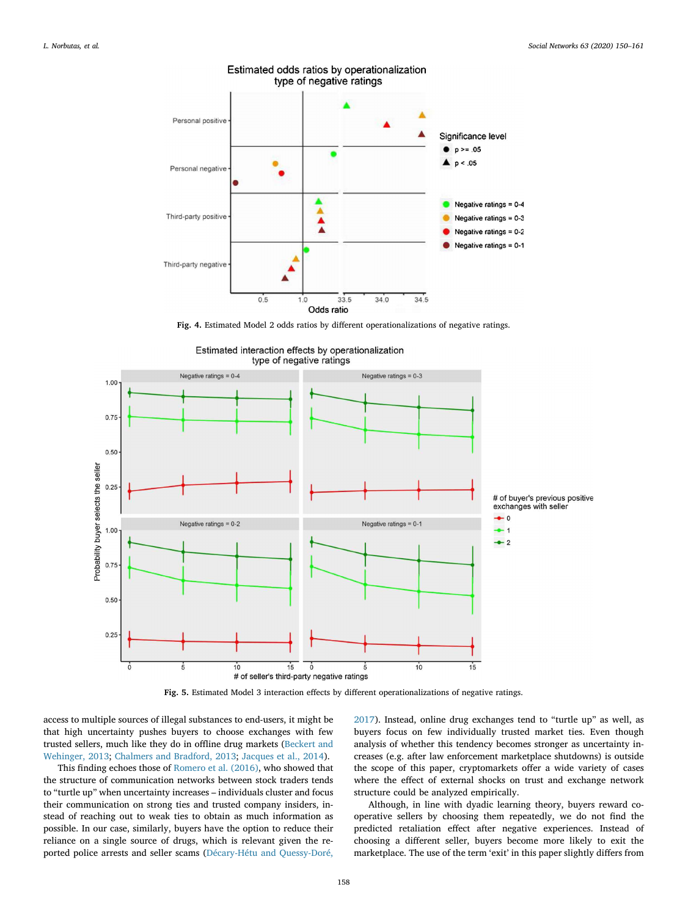

Estimated odds ratios by operationalization type of negative ratings

Fig. 4. Estimated Model 2 odds ratios by different operationalizations of negative ratings.



Estimated interaction effects by operationalization

Fig. 5. Estimated Model 3 interaction effects by different operationalizations of negative ratings.

access to multiple sources of illegal substances to end-users, it might be that high uncertainty pushes buyers to choose exchanges with few trusted sellers, much like they do in offline drug markets (Beckert and Wehinger, 2013; Chalmers and Bradford, 2013; Jacques et al., 2014).

This finding echoes those of Romero et al. (2016), who showed that the structure of communication networks between stock traders tends to "turtle up" when uncertainty increases – individuals cluster and focus their communication on strong ties and trusted company insiders, instead of reaching out to weak ties to obtain as much information as possible. In our case, similarly, buyers have the option to reduce their reliance on a single source of drugs, which is relevant given the reported police arrests and seller scams (Décary-Hétu and Quessy-Doré,

2017). Instead, online drug exchanges tend to "turtle up" as well, as buyers focus on few individually trusted market ties. Even though analysis of whether this tendency becomes stronger as uncertainty increases (e.g. after law enforcement marketplace shutdowns) is outside the scope of this paper, cryptomarkets offer a wide variety of cases where the effect of external shocks on trust and exchange network structure could be analyzed empirically.

Although, in line with dyadic learning theory, buyers reward cooperative sellers by choosing them repeatedly, we do not find the predicted retaliation effect after negative experiences. Instead of choosing a different seller, buyers become more likely to exit the marketplace. The use of the term 'exit' in this paper slightly differs from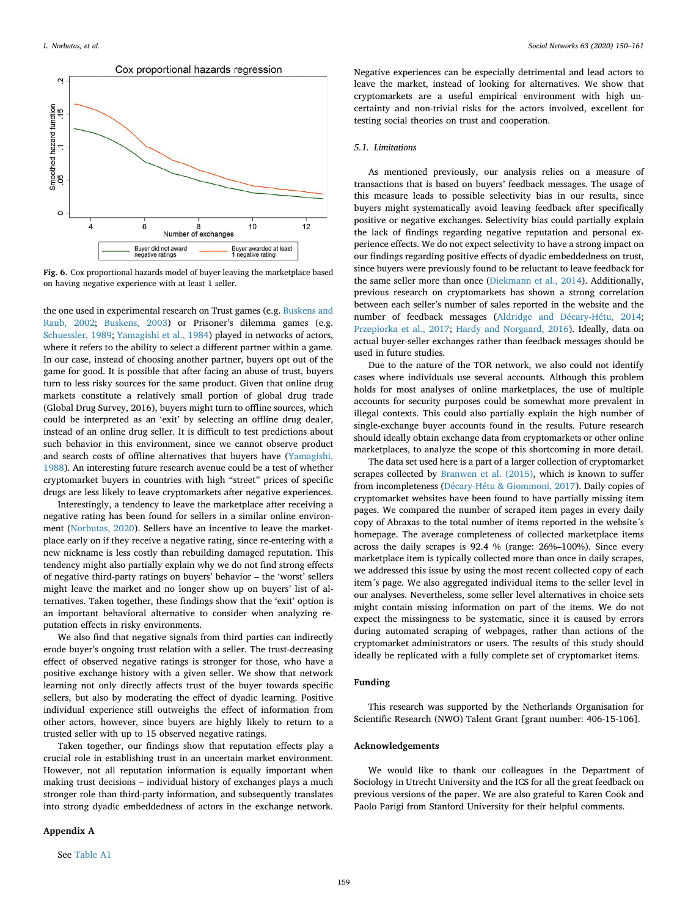

Fig. 6. Cox proportional hazards model of buyer leaving the marketplace based on having negative experience with at least 1 seller.

the one used in experimental research on Trust games (e.g. Buskens and Raub, 2002; Buskens, 2003) or Prisoner's dilemma games (e.g. Schuessler, 1989; Yamagishi et al., 1984) played in networks of actors, where it refers to the ability to select a different partner within a game. In our case, instead of choosing another partner, buyers opt out of the game for good. It is possible that after facing an abuse of trust, buyers turn to less risky sources for the same product. Given that online drug markets constitute a relatively small portion of global drug trade (Global Drug Survey, 2016), buyers might turn to offline sources, which could be interpreted as an 'exit' by selecting an offline drug dealer, instead of an online drug seller. It is difficult to test predictions about such behavior in this environment, since we cannot observe product and search costs of offline alternatives that buyers have (Yamagishi, 1988). An interesting future research avenue could be a test of whether cryptomarket buyers in countries with high "street" prices of specific drugs are less likely to leave cryptomarkets after negative experiences.

Interestingly, a tendency to leave the marketplace after receiving a negative rating has been found for sellers in a similar online environment (Norbutas, 2020). Sellers have an incentive to leave the marketplace early on if they receive a negative rating, since re-entering with a new nickname is less costly than rebuilding damaged reputation. This tendency might also partially explain why we do not find strong effects of negative third-party ratings on buyers' behavior – the 'worst' sellers might leave the market and no longer show up on buyers' list of alternatives. Taken together, these findings show that the 'exit' option is an important behavioral alternative to consider when analyzing reputation effects in risky environments.

We also find that negative signals from third parties can indirectly erode buyer's ongoing trust relation with a seller. The trust-decreasing effect of observed negative ratings is stronger for those, who have a positive exchange history with a given seller. We show that network learning not only directly affects trust of the buyer towards specific sellers, but also by moderating the effect of dyadic learning. Positive individual experience still outweighs the effect of information from other actors, however, since buyers are highly likely to return to a trusted seller with up to 15 observed negative ratings.

Taken together, our findings show that reputation effects play a crucial role in establishing trust in an uncertain market environment. However, not all reputation information is equally important when making trust decisions – individual history of exchanges plays a much stronger role than third-party information, and subsequently translates into strong dyadic embeddedness of actors in the exchange network.

# Appendix A

Negative experiences can be especially detrimental and lead actors to leave the market, instead of looking for alternatives. We show that cryptomarkets are a useful empirical environment with high uncertainty and non-trivial risks for the actors involved, excellent for testing social theories on trust and cooperation.

## *5.1. Limitations*

As mentioned previously, our analysis relies on a measure of transactions that is based on buyers' feedback messages. The usage of this measure leads to possible selectivity bias in our results, since buyers might systematically avoid leaving feedback after specifically positive or negative exchanges. Selectivity bias could partially explain the lack of findings regarding negative reputation and personal experience effects. We do not expect selectivity to have a strong impact on our findings regarding positive effects of dyadic embeddedness on trust, since buyers were previously found to be reluctant to leave feedback for the same seller more than once (Diekmann et al., 2014). Additionally, previous research on cryptomarkets has shown a strong correlation between each seller's number of sales reported in the website and the number of feedback messages (Aldridge and Décary-Hétu, 2014; Przepiorka et al., 2017; Hardy and Norgaard, 2016). Ideally, data on actual buyer-seller exchanges rather than feedback messages should be used in future studies.

Due to the nature of the TOR network, we also could not identify cases where individuals use several accounts. Although this problem holds for most analyses of online marketplaces, the use of multiple accounts for security purposes could be somewhat more prevalent in illegal contexts. This could also partially explain the high number of single-exchange buyer accounts found in the results. Future research should ideally obtain exchange data from cryptomarkets or other online marketplaces, to analyze the scope of this shortcoming in more detail.

The data set used here is a part of a larger collection of cryptomarket scrapes collected by Branwen et al. (2015), which is known to suffer from incompleteness (Décary-Hétu & Giommoni, 2017). Daily copies of cryptomarket websites have been found to have partially missing item pages. We compared the number of scraped item pages in every daily copy of Abraxas to the total number of items reported in the website´s homepage. The average completeness of collected marketplace items across the daily scrapes is 92.4 % (range: 26%–100%). Since every marketplace item is typically collected more than once in daily scrapes, we addressed this issue by using the most recent collected copy of each item´s page. We also aggregated individual items to the seller level in our analyses. Nevertheless, some seller level alternatives in choice sets might contain missing information on part of the items. We do not expect the missingness to be systematic, since it is caused by errors during automated scraping of webpages, rather than actions of the cryptomarket administrators or users. The results of this study should ideally be replicated with a fully complete set of cryptomarket items.

# Funding

This research was supported by the Netherlands Organisation for Scientific Research (NWO) Talent Grant [grant number: 406-15-106].

# Acknowledgements

We would like to thank our colleagues in the Department of Sociology in Utrecht University and the ICS for all the great feedback on previous versions of the paper. We are also grateful to Karen Cook and Paolo Parigi from Stanford University for their helpful comments.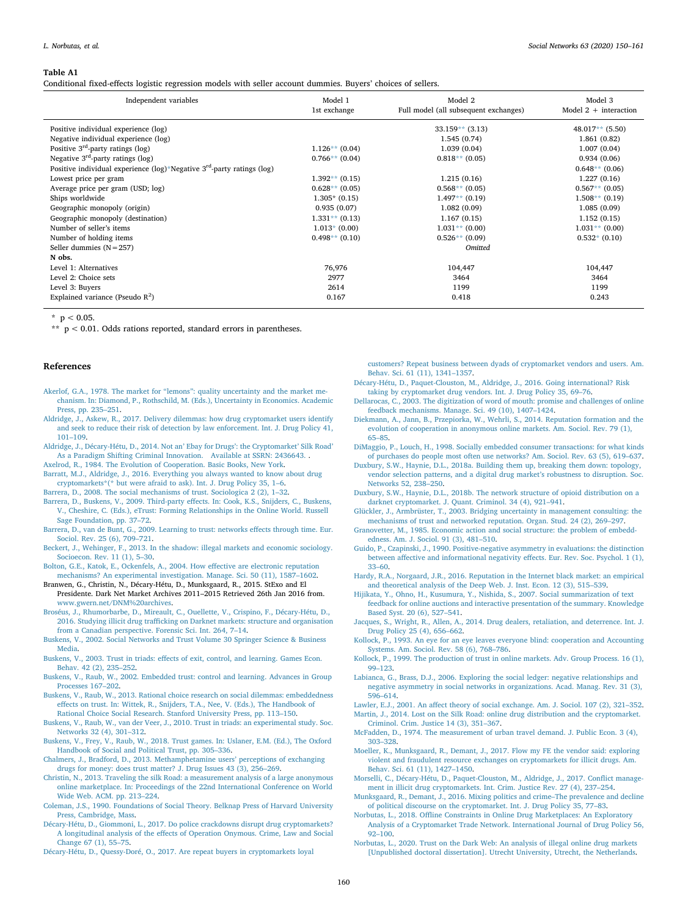#### Table A1

Conditional fixed-effects logistic regression models with seller account dummies. Buyers' choices of sellers.

| Independent variables                                                                      | Model 1<br>1st exchange | Model 2<br>Full model (all subsequent exchanges) | Model 3<br>Model $2 +$ interaction |
|--------------------------------------------------------------------------------------------|-------------------------|--------------------------------------------------|------------------------------------|
| Positive individual experience (log)                                                       |                         | $33.159**$ (3.13)                                | $48.017**$ (5.50)                  |
| Negative individual experience (log)                                                       |                         | 1.545(0.74)                                      | 1.861(0.82)                        |
| Positive $3rd$ -party ratings (log)                                                        | $1.126**$ (0.04)        | 1.039(0.04)                                      | 1.007(0.04)                        |
| Negative $3rd$ -party ratings (log)                                                        | $0.766**$ (0.04)        | $0.818**$ (0.05)                                 | 0.934(0.06)                        |
| Positive individual experience $(\log)^*$ Negative 3 <sup>rd</sup> -party ratings $(\log)$ |                         |                                                  | $0.648**$ (0.06)                   |
| Lowest price per gram                                                                      | $1.392**$ (0.15)        | 1.215(0.16)                                      | 1.227(0.16)                        |
| Average price per gram (USD; log)                                                          | $0.628**$ (0.05)        | $0.568**$ (0.05)                                 | $0.567**$ (0.05)                   |
| Ships worldwide                                                                            | $1.305*(0.15)$          | $1.497**$ (0.19)                                 | $1.508**$ (0.19)                   |
| Geographic monopoly (origin)                                                               | 0.935(0.07)             | 1.082(0.09)                                      | 1.085(0.09)                        |
| Geographic monopoly (destination)                                                          | $1.331**$ (0.13)        | 1.167(0.15)                                      | 1.152(0.15)                        |
| Number of seller's items                                                                   | $1.013*(0.00)$          | $1.031**$ (0.00)                                 | $1.031**$ (0.00)                   |
| Number of holding items                                                                    | $0.498**$ (0.10)        | $0.526**$ (0.09)                                 | $0.532*(0.10)$                     |
| Seller dummies $(N = 257)$                                                                 |                         | <b>Omitted</b>                                   |                                    |
| N obs.                                                                                     |                         |                                                  |                                    |
| Level 1: Alternatives                                                                      | 76,976                  | 104,447                                          | 104,447                            |
| Level 2: Choice sets                                                                       | 2977                    | 3464                                             | 3464                               |
| Level 3: Buyers                                                                            | 2614                    | 1199                                             | 1199                               |
| Explained variance (Pseudo $R^2$ )                                                         | 0.167                   | 0.418                                            | 0.243                              |

 $*$  p < 0.05

\*\*  $p < 0.01$ . Odds rations reported, standard errors in parentheses.

#### References

- Akerlof, G.A., 1978. The market for "lemons": quality uncertainty and the market mechanism. In: Diamond, P., Rothschild, M. (Eds.), Uncertainty in Economics. Academic Press, pp. 235–251.
- Aldridge, J., Askew, R., 2017. Delivery dilemmas: how drug cryptomarket users identify and seek to reduce their risk of detection by law enforcement. Int. J. Drug Policy 41, 101–109.
- Aldridge, J., Décary-Hétu, D., 2014. Not an' Ebay for Drugs': the Cryptomarket' Silk Road' As a Paradigm Shifting Criminal Innovation. Available at SSRN: 2436643.
- Axelrod, R., 1984. The Evolution of Cooperation. Basic Books, New York.
- Barratt, M.J., Aldridge, J., 2016. Everything you always wanted to know about drug cryptomarkets\*(\* but were afraid to ask). Int. J. Drug Policy 35, 1–6. Barrera, D., 2008. The social mechanisms of trust. Sociologica 2 (2), 1-32.
- Barrera, D., Buskens, V., 2009. Third-party effects. In: Cook, K.S., Snijders, C., Buskens, V., Cheshire, C. (Eds.), eTrust: Forming Relationships in the Online World. Russell
- Sage Foundation, pp. 37–72. Barrera, D., van de Bunt, G., 2009. Learning to trust: networks effects through time. Eur.
- Sociol. Rev. 25 (6), 709–721. Beckert, J., Wehinger, F., 2013. In the shadow: illegal markets and economic sociology. Socioecon. Rev. 11 (1), 5–30.
- Bolton, G.E., Katok, E., Ockenfels, A., 2004. How effective are electronic reputation mechanisms? An experimental investigation. Manage. Sci. 50 (11), 1587–1602.

Branwen, G., Christin, N., Décary-Hétu, D., Munksgaard, R., 2015. StExo and El Presidente. Dark Net Market Archives 2011–2015 Retrieved 26th Jan 2016 from. www.gwern.net/DNM%20archives.

- Broséus, J., Rhumorbarbe, D., Mireault, C., Ouellette, V., Crispino, F., Décary-Hétu, D., 2016. Studying illicit drug trafficking on Darknet markets: structure and organisation from a Canadian perspective. Forensic Sci. Int. 264, 7–14.
- Buskens, V., 2002. Social Networks and Trust Volume 30 Springer Science & Business Media.
- Buskens, V., 2003. Trust in triads: effects of exit, control, and learning. Games Econ. Behav. 42 (2), 235–252.
- Buskens, V., Raub, W., 2002. Embedded trust: control and learning. Advances in Group Processes 167–202.
- Buskens, V., Raub, W., 2013. Rational choice research on social dilemmas: embeddedness effects on trust. In: Wittek, R., Snijders, T.A., Nee, V. (Eds.), The Handbook of Rational Choice Social Research. Stanford University Press, pp. 113–150.
- Buskens, V., Raub, W., van der Veer, J., 2010. Trust in triads: an experimental study. Soc. Networks 32 (4), 301–312.
- Buskens, V., Frey, V., Raub, W., 2018. Trust games. In: Uslaner, E.M. (Ed.), The Oxford Handbook of Social and Political Trust, pp. 305–336.
- Chalmers, J., Bradford, D., 2013. Methamphetamine users' perceptions of exchanging drugs for money: does trust matter? J. Drug Issues 43 (3), 256–269.
- Christin, N., 2013. Traveling the silk Road: a measurement analysis of a large anonymous online marketplace. In: Proceedings of the 22nd International Conference on World Wide Web. ACM. pp. 213–224.
- Coleman, J.S., 1990. Foundations of Social Theory. Belknap Press of Harvard University Press, Cambridge, Mass.
- Décary-Hétu, D., Giommoni, L., 2017. Do police crackdowns disrupt drug cryptomarkets? A longitudinal analysis of the effects of Operation Onymous. Crime, Law and Social Change 67 (1), 55–75.
- Décary-Hétu, D., Quessy-Doré, O., 2017. Are repeat buyers in cryptomarkets loyal

customers? Repeat business between dyads of cryptomarket vendors and users. Am. Behav. Sci. 61 (11), 1341–1357.

- Décary-Hétu, D., Paquet-Clouston, M., Aldridge, J., 2016. Going international? Risk taking by cryptomarket drug vendors. Int. J. Drug Policy 35, 69–76.
- Dellarocas, C., 2003. The digitization of word of mouth: promise and challenges of online feedback mechanisms. Manage. Sci. 49 (10), 1407–1424.
- Diekmann, A., Jann, B., Przepiorka, W., Wehrli, S., 2014. Reputation formation and the evolution of cooperation in anonymous online markets. Am. Sociol. Rev. 79 (1), 65–85.

DiMaggio, P., Louch, H., 1998. Socially embedded consumer transactions: for what kinds of purchases do people most often use networks? Am. Sociol. Rev. 63 (5), 619–637.

- Duxbury, S.W., Haynie, D.L., 2018a. Building them up, breaking them down: topology, vendor selection patterns, and a digital drug market's robustness to disruption. Soc. Networks 52, 238–250.
- Duxbury, S.W., Haynie, D.L., 2018b. The network structure of opioid distribution on a darknet cryptomarket. J. Quant. Criminol. 34 (4), 921–941.
- Glückler, J., Armbrüster, T., 2003. Bridging uncertainty in management consulting: the mechanisms of trust and networked reputation. Organ. Stud. 24 (2), 269–297.
- Granovetter, M., 1985. Economic action and social structure: the problem of embeddedness. Am. J. Sociol. 91 (3), 481–510.
- Guido, P., Czapinski, J., 1990. Positive-negative asymmetry in evaluations: the distinction between affective and informational negativity effects. Eur. Rev. Soc. Psychol. 1 (1), 33–60.
- Hardy, R.A., Norgaard, J.R., 2016. Reputation in the Internet black market: an empirical and theoretical analysis of the Deep Web. J. Inst. Econ. 12 (3), 515–539.
- Hijikata, Y., Ohno, H., Kusumura, Y., Nishida, S., 2007. Social summarization of text feedback for online auctions and interactive presentation of the summary. Knowledge Based Syst. 20 (6), 527–541.
- Jacques, S., Wright, R., Allen, A., 2014. Drug dealers, retaliation, and deterrence. Int. J. Drug Policy 25 (4), 656–662.
- Kollock, P., 1993. An eye for an eye leaves everyone blind: cooperation and Accounting Systems. Am. Sociol. Rev. 58 (6), 768–786.
- Kollock, P., 1999. The production of trust in online markets. Adv. Group Process. 16 (1), 99–123.
- Labianca, G., Brass, D.J., 2006. Exploring the social ledger: negative relationships and negative asymmetry in social networks in organizations. Acad. Manag. Rev. 31 (3), 596–614.
- Lawler, E.J., 2001. An affect theory of social exchange. Am. J. Sociol. 107 (2), 321–352. Martin, J., 2014. Lost on the Silk Road: online drug distribution and the cryptomarket.
- Criminol. Crim. Justice 14 (3), 351–367. McFadden, D., 1974. The measurement of urban travel demand. J. Public Econ. 3 (4), 303–328.
- Moeller, K., Munksgaard, R., Demant, J., 2017. Flow my FE the vendor said: exploring violent and fraudulent resource exchanges on cryptomarkets for illicit drugs. Am. Behav. Sci. 61 (11), 1427–1450.
- Morselli, C., Décary-Hétu, D., Paquet-Clouston, M., Aldridge, J., 2017. Conflict management in illicit drug cryptomarkets. Int. Crim. Justice Rev. 27 (4), 237–254.
- Munksgaard, R., Demant, J., 2016. Mixing politics and crime–The prevalence and decline of political discourse on the cryptomarket. Int. J. Drug Policy 35, 77–83.
- Norbutas, L., 2018. Offline Constraints in Online Drug Marketplaces: An Exploratory Analysis of a Cryptomarket Trade Network. International Journal of Drug Policy 56, 92–100.
- Norbutas, L., 2020. Trust on the Dark Web: An analysis of illegal online drug markets [Unpublished doctoral dissertation]. Utrecht University, Utrecht, the Netherlands.